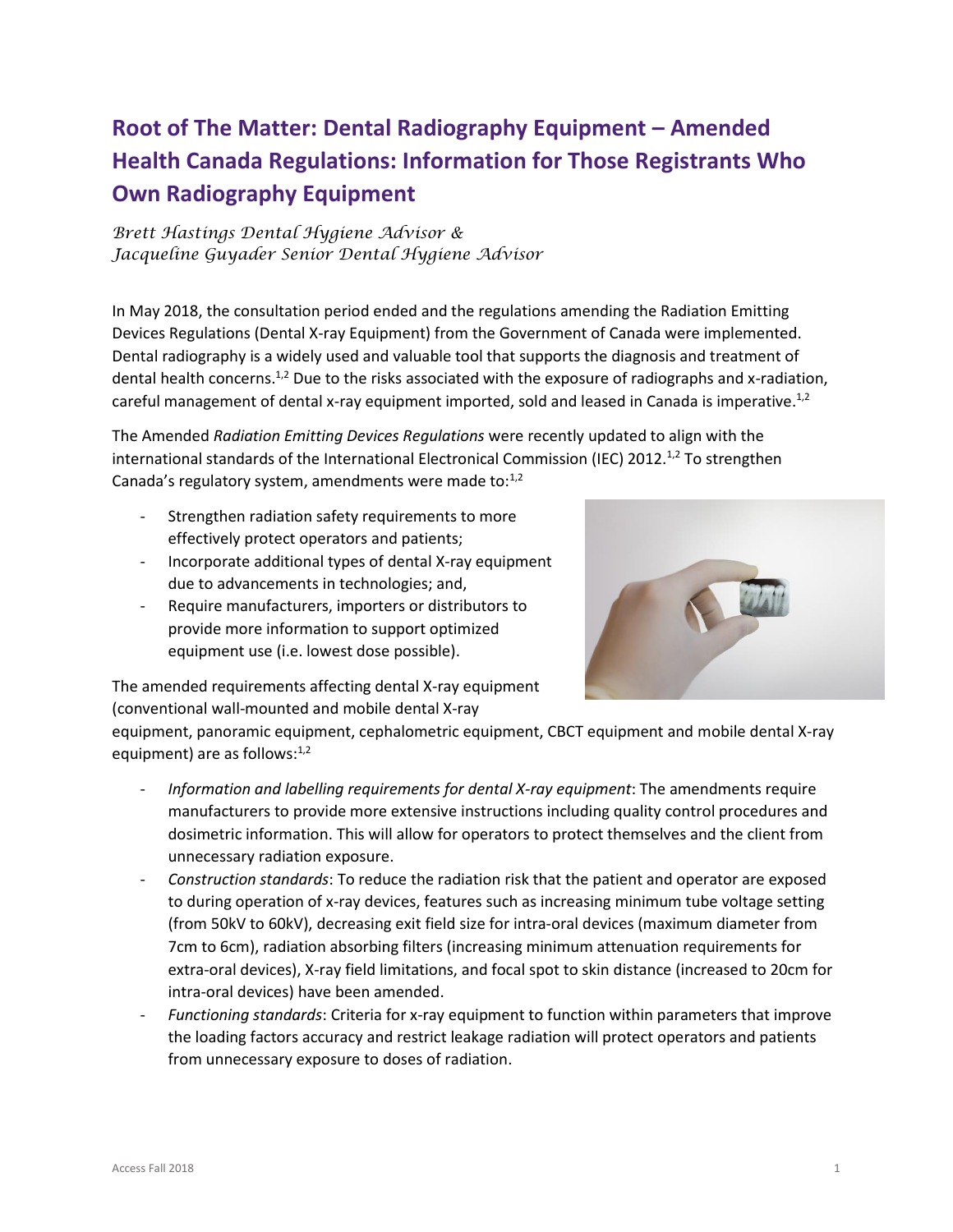## **Root of The Matter: Dental Radiography Equipment – Amended Health Canada Regulations: Information for Those Registrants Who Own Radiography Equipment**

*Brett Hastings Dental Hygiene Advisor & Jacqueline Guyader Senior Dental Hygiene Advisor* 

In May 2018, the consultation period ended and the regulations amending the Radiation Emitting Devices Regulations (Dental X-ray Equipment) from the Government of Canada were implemented. Dental radiography is a widely used and valuable tool that supports the diagnosis and treatment of dental health concerns.<sup>1,2</sup> Due to the risks associated with the exposure of radiographs and x-radiation, careful management of dental x-ray equipment imported, sold and leased in Canada is imperative.<sup>1,2</sup>

The Amended *Radiation Emitting Devices Regulations* were recently updated to align with the international standards of the International Electronical Commission (IEC) 2012.<sup>1,2</sup> To strengthen Canada's regulatory system, amendments were made to: $1,2$ 

- Strengthen radiation safety requirements to more effectively protect operators and patients;
- Incorporate additional types of dental X-ray equipment due to advancements in technologies; and,
- Require manufacturers, importers or distributors to provide more information to support optimized equipment use (i.e. lowest dose possible).



The amended requirements affecting dental X-ray equipment (conventional wall-mounted and mobile dental X-ray

equipment, panoramic equipment, cephalometric equipment, CBCT equipment and mobile dental X-ray equipment) are as follows:<sup>1,2</sup>

- *Information and labelling requirements for dental X-ray equipment*: The amendments require manufacturers to provide more extensive instructions including quality control procedures and dosimetric information. This will allow for operators to protect themselves and the client from unnecessary radiation exposure.
- *Construction standards*: To reduce the radiation risk that the patient and operator are exposed to during operation of x-ray devices, features such as increasing minimum tube voltage setting (from 50kV to 60kV), decreasing exit field size for intra-oral devices (maximum diameter from 7cm to 6cm), radiation absorbing filters (increasing minimum attenuation requirements for extra-oral devices), X-ray field limitations, and focal spot to skin distance (increased to 20cm for intra-oral devices) have been amended.
- *Functioning standards*: Criteria for x-ray equipment to function within parameters that improve the loading factors accuracy and restrict leakage radiation will protect operators and patients from unnecessary exposure to doses of radiation.